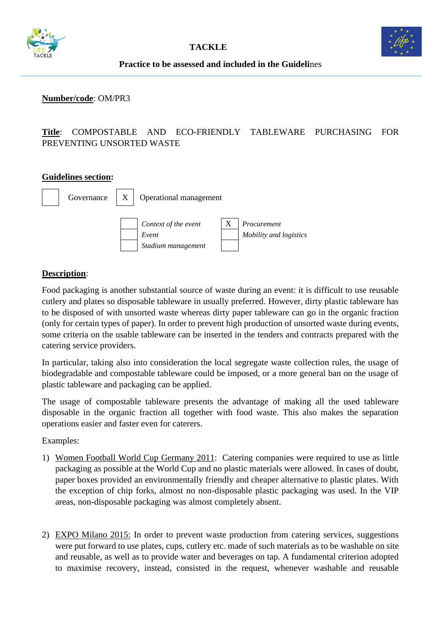



#### **Practice to be assessed and included in the Guideli**nes

#### **Number/code**: OM/PR3

# **Title**: COMPOSTABLE AND ECO-FRIENDLY TABLEWARE PURCHASING FOR PREVENTING UNSORTED WASTE

#### **Guidelines section:**



### **Description**:

Food packaging is another substantial source of waste during an event: it is difficult to use reusable cutlery and plates so disposable tableware in usually preferred. However, dirty plastic tableware has to be disposed of with unsorted waste whereas dirty paper tableware can go in the organic fraction (only for certain types of paper). In order to prevent high production of unsorted waste during events, some criteria on the usable tableware can be inserted in the tenders and contracts prepared with the catering service providers.

In particular, taking also into consideration the local segregate waste collection rules, the usage of biodegradable and compostable tableware could be imposed, or a more general ban on the usage of plastic tableware and packaging can be applied.

The usage of compostable tableware presents the advantage of making all the used tableware disposable in the organic fraction all together with food waste. This also makes the separation operations easier and faster even for caterers.

#### Examples:

- 1) Women Football World Cup Germany 2011: Catering companies were required to use as little packaging as possible at the World Cup and no plastic materials were allowed. In cases of doubt, paper boxes provided an environmentally friendly and cheaper alternative to plastic plates. With the exception of chip forks, almost no non-disposable plastic packaging was used. In the VIP areas, non-disposable packaging was almost completely absent.
- 2) EXPO Milano 2015: In order to prevent waste production from catering services, suggestions were put forward to use plates, cups, cutlery etc. made of such materials as to be washable on site and reusable, as well as to provide water and beverages on tap. A fundamental criterion adopted to maximise recovery, instead, consisted in the request, whenever washable and reusable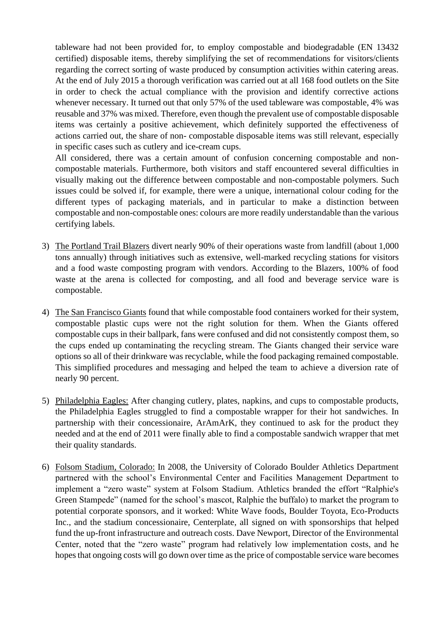tableware had not been provided for, to employ compostable and biodegradable (EN 13432 certified) disposable items, thereby simplifying the set of recommendations for visitors/clients regarding the correct sorting of waste produced by consumption activities within catering areas. At the end of July 2015 a thorough verification was carried out at all 168 food outlets on the Site in order to check the actual compliance with the provision and identify corrective actions whenever necessary. It turned out that only 57% of the used tableware was compostable, 4% was reusable and 37% was mixed. Therefore, even though the prevalent use of compostable disposable items was certainly a positive achievement, which definitely supported the effectiveness of actions carried out, the share of non- compostable disposable items was still relevant, especially in specific cases such as cutlery and ice-cream cups.

All considered, there was a certain amount of confusion concerning compostable and noncompostable materials. Furthermore, both visitors and staff encountered several difficulties in visually making out the difference between compostable and non-compostable polymers. Such issues could be solved if, for example, there were a unique, international colour coding for the different types of packaging materials, and in particular to make a distinction between compostable and non-compostable ones: colours are more readily understandable than the various certifying labels.

- 3) The Portland Trail Blazers divert nearly 90% of their operations waste from landfill (about 1,000 tons annually) through initiatives such as extensive, well-marked recycling stations for visitors and a food waste composting program with vendors. According to the Blazers, 100% of food waste at the arena is collected for composting, and all food and beverage service ware is compostable.
- 4) The San Francisco Giants found that while compostable food containers worked for their system, compostable plastic cups were not the right solution for them. When the Giants offered compostable cups in their ballpark, fans were confused and did not consistently compost them, so the cups ended up contaminating the recycling stream. The Giants changed their service ware options so all of their drinkware was recyclable, while the food packaging remained compostable. This simplified procedures and messaging and helped the team to achieve a diversion rate of nearly 90 percent.
- 5) Philadelphia Eagles: After changing cutlery, plates, napkins, and cups to compostable products, the Philadelphia Eagles struggled to find a compostable wrapper for their hot sandwiches. In partnership with their concessionaire, ArAmArK, they continued to ask for the product they needed and at the end of 2011 were finally able to find a compostable sandwich wrapper that met their quality standards.
- 6) Folsom Stadium, Colorado: In 2008, the University of Colorado Boulder Athletics Department partnered with the school's Environmental Center and Facilities Management Department to implement a "zero waste" system at Folsom Stadium. Athletics branded the effort "Ralphie's Green Stampede" (named for the school's mascot, Ralphie the buffalo) to market the program to potential corporate sponsors, and it worked: White Wave foods, Boulder Toyota, Eco-Products Inc., and the stadium concessionaire, Centerplate, all signed on with sponsorships that helped fund the up-front infrastructure and outreach costs. Dave Newport, Director of the Environmental Center, noted that the "zero waste" program had relatively low implementation costs, and he hopes that ongoing costs will go down over time as the price of compostable service ware becomes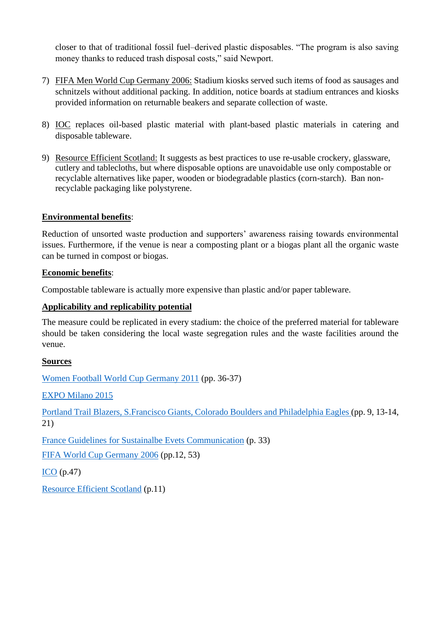closer to that of traditional fossil fuel–derived plastic disposables. "The program is also saving money thanks to reduced trash disposal costs," said Newport.

- 7) FIFA Men World Cup Germany 2006: Stadium kiosks served such items of food as sausages and schnitzels without additional packing. In addition, notice boards at stadium entrances and kiosks provided information on returnable beakers and separate collection of waste.
- 8) IOC replaces oil-based plastic material with plant-based plastic materials in catering and disposable tableware.
- 9) Resource Efficient Scotland: It suggests as best practices to use re-usable crockery, glassware, cutlery and tablecloths, but where disposable options are unavoidable use only compostable or recyclable alternatives like paper, wooden or biodegradable plastics (corn-starch). Ban nonrecyclable packaging like polystyrene.

### **Environmental benefits**:

Reduction of unsorted waste production and supporters' awareness raising towards environmental issues. Furthermore, if the venue is near a composting plant or a biogas plant all the organic waste can be turned in compost or biogas.

### **Economic benefits**:

Compostable tableware is actually more expensive than plastic and/or paper tableware.

### **Applicability and replicability potential**

The measure could be replicated in every stadium: the choice of the preferred material for tableware should be taken considering the local waste segregation rules and the waste facilities around the venue.

#### **Sources**

[Women Football World Cup Germany 2011](https://www.fifa.com/mm/document/afsocial/environment/01/57/12/83/fwwc2011green_goal_legacy_report_en.pdf) (pp. 36-37)

[EXPO Milano 2015](http://www.minambiente.it/sites/default/files/archivio/allegati/impronta_ambientale/the_expo_we_learned_EN_web.pdf)

[Portland Trail Blazers, S.Francisco Giants, Colorado Boulders and Philadelphia Eagles \(](https://www.nrdc.org/sites/default/files/sports-venue-composting-guide.pdf)pp. 9, 13-14, 21)

[France Guidelines for Sustainalbe Evets Communication](http://developpement-durable.sports.gouv.fr/m/ressources/details/eco-communication-vers-une-communication-plus-eco-responsable/225) (p. 33)

[FIFA World Cup Germany 2006](https://www.oeko.de/oekodoc/292/2006-011-en.pdf) (pp.12, 53)

[ICO](https://stillmed.olympic.org/media/Document%20Library/OlympicOrg/IOC/What-We-Do/celebrate-olympic-games/Sustainability/IOC-Sustainability-Report-2018.pdf) (p.47)

[Resource Efficient Scotland](https://www.resourceefficientscotland.com/sites/default/files/How%20to%20plan%20&%20deliver%20environmentally%20sustainable%20events.pdf) (p.11)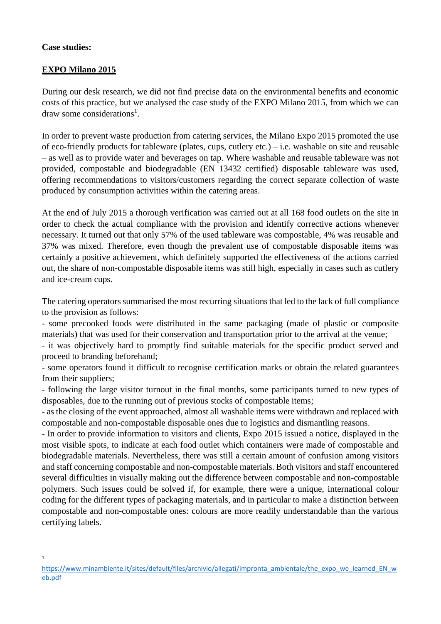## **Case studies:**

1

# **EXPO Milano 2015**

During our desk research, we did not find precise data on the environmental benefits and economic costs of this practice, but we analysed the case study of the EXPO Milano 2015, from which we can draw some considerations<sup>1</sup>.

In order to prevent waste production from catering services, the Milano Expo 2015 promoted the use of eco-friendly products for tableware (plates, cups, cutlery etc.) – i.e. washable on site and reusable – as well as to provide water and beverages on tap. Where washable and reusable tableware was not provided, compostable and biodegradable (EN 13432 certified) disposable tableware was used, offering recommendations to visitors/customers regarding the correct separate collection of waste produced by consumption activities within the catering areas.

At the end of July 2015 a thorough verification was carried out at all 168 food outlets on the site in order to check the actual compliance with the provision and identify corrective actions whenever necessary. It turned out that only 57% of the used tableware was compostable, 4% was reusable and 37% was mixed. Therefore, even though the prevalent use of compostable disposable items was certainly a positive achievement, which definitely supported the effectiveness of the actions carried out, the share of non-compostable disposable items was still high, especially in cases such as cutlery and ice-cream cups.

The catering operators summarised the most recurring situations that led to the lack of full compliance to the provision as follows:

- some precooked foods were distributed in the same packaging (made of plastic or composite materials) that was used for their conservation and transportation prior to the arrival at the venue;

- it was objectively hard to promptly find suitable materials for the specific product served and proceed to branding beforehand;

- some operators found it difficult to recognise certification marks or obtain the related guarantees from their suppliers;

- following the large visitor turnout in the final months, some participants turned to new types of disposables, due to the running out of previous stocks of compostable items;

- as the closing of the event approached, almost all washable items were withdrawn and replaced with compostable and non-compostable disposable ones due to logistics and dismantling reasons.

- In order to provide information to visitors and clients, Expo 2015 issued a notice, displayed in the most visible spots, to indicate at each food outlet which containers were made of compostable and biodegradable materials. Nevertheless, there was still a certain amount of confusion among visitors and staff concerning compostable and non-compostable materials. Both visitors and staff encountered several difficulties in visually making out the difference between compostable and non-compostable polymers. Such issues could be solved if, for example, there were a unique, international colour coding for the different types of packaging materials, and in particular to make a distinction between compostable and non-compostable ones: colours are more readily understandable than the various certifying labels.

[https://www.minambiente.it/sites/default/files/archivio/allegati/impronta\\_ambientale/the\\_expo\\_we\\_learned\\_EN\\_w](https://www.minambiente.it/sites/default/files/archivio/allegati/impronta_ambientale/the_expo_we_learned_EN_web.pdf) [eb.pdf](https://www.minambiente.it/sites/default/files/archivio/allegati/impronta_ambientale/the_expo_we_learned_EN_web.pdf)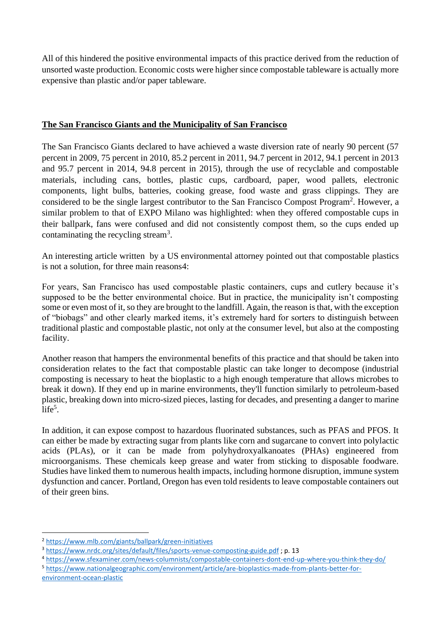All of this hindered the positive environmental impacts of this practice derived from the reduction of unsorted waste production. Economic costs were higher since compostable tableware is actually more expensive than plastic and/or paper tableware.

## **The San Francisco Giants and the Municipality of San Francisco**

The San Francisco Giants declared to have achieved a waste diversion rate of nearly 90 percent (57 percent in 2009, 75 percent in 2010, 85.2 percent in 2011, 94.7 percent in 2012, 94.1 percent in 2013 and 95.7 percent in 2014, 94.8 percent in 2015), through the use of recyclable and compostable materials, including cans, bottles, plastic cups, cardboard, paper, wood pallets, electronic components, light bulbs, batteries, cooking grease, food waste and grass clippings. They are considered to be the single largest contributor to the San Francisco Compost Program<sup>2</sup>. However, a similar problem to that of EXPO Milano was highlighted: when they offered compostable cups in their ballpark, fans were confused and did not consistently compost them, so the cups ended up contaminating the recycling stream<sup>3</sup>.

An interesting article written by a US environmental attorney pointed out that compostable plastics is not a solution, for three main reasons4:

For years, San Francisco has used compostable plastic containers, cups and cutlery because it's supposed to be the better environmental choice. But in practice, the municipality isn't composting some or even most of it, so they are brought to the landfill. Again, the reason is that, with the exception of "biobags" and other clearly marked items, it's extremely hard for sorters to distinguish between traditional plastic and compostable plastic, not only at the consumer level, but also at the composting facility.

Another reason that hampers the environmental benefits of this practice and that should be taken into consideration relates to the fact that compostable plastic can take longer to decompose (industrial composting is necessary to heat the bioplastic to a high enough temperature that allows microbes to break it down). If they end up in marine environments, they'll function similarly to petroleum-based plastic, breaking down into micro-sized pieces, lasting for decades, and presenting a danger to marine  $life^5$ .

In addition, it can expose compost to hazardous fluorinated substances, such as PFAS and PFOS. It can either be made by extracting sugar from plants like corn and sugarcane to convert into polylactic acids (PLAs), or it can be made from polyhydroxyalkanoates (PHAs) engineered from microorganisms. These chemicals keep grease and water from sticking to disposable foodware. Studies have linked them to numerous health impacts, including hormone disruption, immune system dysfunction and cancer. Portland, Oregon has even told residents to leave compostable containers out of their green bins.

<sup>2</sup> <https://www.mlb.com/giants/ballpark/green-initiatives>

<sup>3</sup> <https://www.nrdc.org/sites/default/files/sports-venue-composting-guide.pdf> ; p. 13

<sup>4</sup> <https://www.sfexaminer.com/news-columnists/compostable-containers-dont-end-up-where-you-think-they-do/>

<sup>5</sup> [https://www.nationalgeographic.com/environment/article/are-bioplastics-made-from-plants-better-for](https://www.nationalgeographic.com/environment/article/are-bioplastics-made-from-plants-better-for-environment-ocean-plastic)[environment-ocean-plastic](https://www.nationalgeographic.com/environment/article/are-bioplastics-made-from-plants-better-for-environment-ocean-plastic)